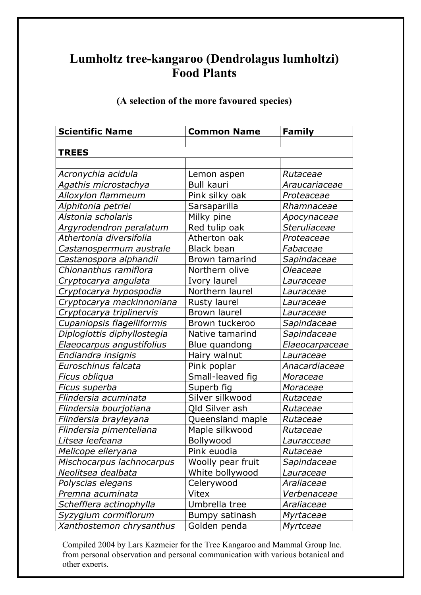## **Lumholtz tree-kangaroo (Dendrolagus lumholtzi) Food Plants**

| <b>Scientific Name</b>      | <b>Common Name</b>  | Family         |
|-----------------------------|---------------------|----------------|
|                             |                     |                |
| <b>TREES</b>                |                     |                |
|                             |                     |                |
| Acronychia acidula          | Lemon aspen         | Rutaceae       |
| Agathis microstachya        | <b>Bull kauri</b>   | Araucariaceae  |
| Alloxylon flammeum          | Pink silky oak      | Proteaceae     |
| Alphitonia petriei          | Sarsaparilla        | Rhamnaceae     |
| Alstonia scholaris          | Milky pine          | Apocynaceae    |
| Argyrodendron peralatum     | Red tulip oak       | Steruliaceae   |
| Athertonia diversifolia     | Atherton oak        | Proteaceae     |
| Castanospermum australe     | <b>Black bean</b>   | Fabaceae       |
| Castanospora alphandii      | Brown tamarind      | Sapindaceae    |
| Chionanthus ramiflora       | Northern olive      | Oleaceae       |
| Cryptocarya angulata        | Ivory laurel        | Lauraceae      |
| Cryptocarya hypospodia      | Northern laurel     | Lauraceae      |
| Cryptocarya mackinnoniana   | <b>Rusty laurel</b> | Lauraceae      |
| Cryptocarya triplinervis    | <b>Brown laurel</b> | Lauraceae      |
| Cupaniopsis flagelliformis  | Brown tuckeroo      | Sapindaceae    |
| Diploglottis diphyllostegia | Native tamarind     | Sapindaceae    |
| Elaeocarpus angustifolius   | Blue quandong       | Elaeocarpaceae |
| Endiandra insignis          | Hairy walnut        | Lauraceae      |
| Euroschinus falcata         | Pink poplar         | Anacardiaceae  |
| Ficus obliqua               | Small-leaved fig    | Moraceae       |
| Ficus superba               | Superb fig          | Moraceae       |
| Flindersia acuminata        | Silver silkwood     | Rutaceae       |
| Flindersia bourjotiana      | Qld Silver ash      | Rutaceae       |
| Flindersia brayleyana       | Queensland maple    | Rutaceae       |
| Flindersia pimenteliana     | Maple silkwood      | Rutaceae       |
| Litsea leefeana             | Bollywood           | Lauracceae     |
| Melicope elleryana          | Pink euodia         | Rutaceae       |
| Mischocarpus lachnocarpus   | Woolly pear fruit   | Sapindaceae    |
| Neolitsea dealbata          | White bollywood     | Lauraceae      |
| Polyscias elegans           | Celerywood          | Araliaceae     |
| Premna acuminata            | Vitex               | Verbenaceae    |
| Schefflera actinophylla     | Umbrella tree       | Araliaceae     |
| Syzygium cormiflorum        | Bumpy satinash      | Myrtaceae      |
| Xanthostemon chrysanthus    | Golden penda        | Myrtceae       |

**(A selection of the more favoured species)**

 Compiled 2004 by Lars Kazmeier for the Tree Kangaroo and Mammal Group Inc. from personal observation and personal communication with various botanical and other experts.